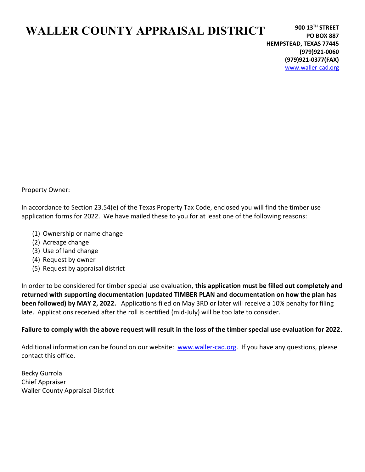# WALLER COUNTY APPRAISAL DISTRICT

Property Owner:

In accordance to Section 23.54(e) of the Texas Property Tax Code, enclosed you will find the timber use application forms for 2022. We have mailed these to you for at least one of the following reasons:

- (1) Ownership or name change
- (2) Acreage change
- (3) Use of land change
- (4) Request by owner
- (5) Request by appraisal district

In order to be considered for timber special use evaluation, this application must be filled out completely and returned with supporting documentation (updated TIMBER PLAN and documentation on how the plan has been followed) by MAY 2, 2022. Applications filed on May 3RD or later will receive a 10% penalty for filing late. Applications received after the roll is certified (mid-July) will be too late to consider.

### Failure to comply with the above request will result in the loss of the timber special use evaluation for 2022.

Additional information can be found on our website: www.waller-cad.org. If you have any questions, please contact this office.

Becky Gurrola Chief Appraiser Waller County Appraisal District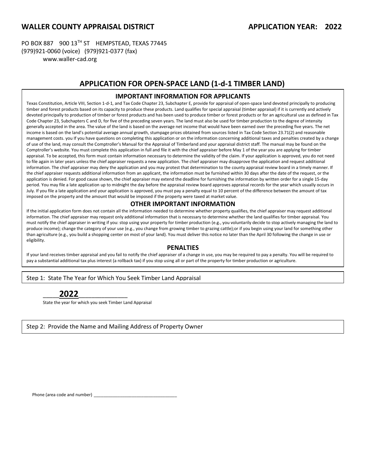### WALLER COUNTY APPRAISAL DISTRICT APPLICATION YEAR: 2022

PO BOX 887 900 13TH ST HEMPSTEAD, TEXAS 77445 (979)921-0060 (voice) (979)921-0377 (fax) www.waller-cad.org

### APPLICATION FOR OPEN-SPACE LAND (1-d-1 TIMBER LAND)

#### IMPORTANT INFORMATION FOR APPLICANTS

timber and forest products based on its capacity to produce these products. Land qualifies for special appraisal (timber appraisal) if it is currently and actively devoted principally to production of timber or forest products and has been used to produce timber or forest products or for an agricultural use as defined in Tax Texas Constitution, Article VIII, Section 1-d-1, and Tax Code Chapter 23, Subchapter E, provide for appraisal of open-space land devoted principally to producing Code Chapter 23, Subchapters C and D, for five of the preceding seven years. The land must also be used for timber production to the degree of intensity generally accepted in the area. The value of the land is based on the average net income that would have been earned over the preceding five years. The net income is based on the land's potential average annual growth, stumpage prices obtained from sources listed in Tax Code Section 23.71(2) and reasonable management costs. you If you have questions on completing this application or on the information concerning additional taxes and penalties created by a change of use of the land, may consult the Comptroller's Manual for the Appraisal of Timberland and your appraisal district staff. The manual may be found on the Comptroller's website. You must complete this application in full and file it with the chief appraiser before May 1 of the year you are applying for timber appraisal. To be accepted, this form must contain information necessary to determine the validity of the claim. If your application is approved, you do not need to file again in later years unless the chief appraiser requests a new application. The chief appraiser may disapprove the application and request additional information. The chief appraiser may deny the application and you may protest that determination to the county appraisal review board in a timely manner. If the chief appraiser requests additional information from an applicant, the information must be furnished within 30 days after the date of the request, or the application is denied. For good cause shown, the chief appraiser may extend the deadline for furnishing the information by written order for a single 15-day period. You may file a late application up to midnight the day before the appraisal review board approves appraisal records for the year which usually occurs in July. If you file a late application and your application is approved, you must pay a penalty equal to 10 percent of the difference between the amount of tax imposed on the property and the amount that would be imposed if the property were taxed at market value.

#### OTHER IMPORTANT INFORMATION

If the initial application form does not contain all the information needed to determine whether property qualifies, the chief appraiser may request additional information. The chief appraiser may request only additional information that is necessary to determine whether the land qualifies for timber appraisal. You must notify the chief appraiser in writing if you: stop using your property for timber production (e.g., you voluntarily decide to stop actively managing the land to produce income); change the category of your use (e.g., you change from growing timber to grazing cattle);or if you begin using your land for something other than agriculture (e.g., you build a shopping center on most of your land). You must deliver this notice no later than the April 30 following the change in use or eligibility.

#### PENALTIES

If your land receives timber appraisal and you fail to notify the chief appraiser of a change in use, you may be required to pay a penalty. You will be required to pay a substantial additional tax plus interest (a rollback tax) if you stop using all or part of the property for timber production or agriculture.

Step 1: State The Year for Which You Seek Timber Land Appraisal

# \_\_\_\_\_2022\_\_\_\_\_\_\_\_\_\_\_\_\_\_\_

State the year for which you seek Timber Land Appraisal

Step 2: Provide the Name and Mailing Address of Property Owner

Phone (area code and number)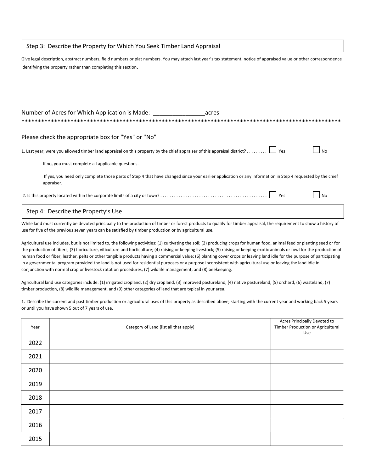#### Step 3: Describe the Property for Which You Seek Timber Land Appraisal

Give legal description, abstract numbers, field numbers or plat numbers. You may attach last year's tax statement, notice of appraised value or other correspondence identifying the property rather than completing this section.

| Number of Acres for Which Application is Made:<br>acres                                                                                                                 |
|-------------------------------------------------------------------------------------------------------------------------------------------------------------------------|
| Please check the appropriate box for "Yes" or "No"                                                                                                                      |
| N <sub>0</sub>                                                                                                                                                          |
| If no, you must complete all applicable questions.                                                                                                                      |
| If yes, you need only complete those parts of Step 4 that have changed since your earlier application or any information in Step 4 requested by the chief<br>appraiser. |
| l No                                                                                                                                                                    |
| Step 4: Describe the Property's Use                                                                                                                                     |

While land must currently be devoted principally to the production of timber or forest products to qualify for timber appraisal, the requirement to show a history of use for five of the previous seven years can be satisfied by timber production or by agricultural use.

Agricultural use includes, but is not limited to, the following activities: (1) cultivating the soil; (2) producing crops for human food, animal feed or planting seed or for the production of fibers; (3) floriculture, viticulture and horticulture; (4) raising or keeping livestock; (5) raising or keeping exotic animals or fowl for the production of human food or fiber, leather, pelts or other tangible products having a commercial value; (6) planting cover crops or leaving land idle for the purpose of participating in a governmental program provided the land is not used for residential purposes or a purpose inconsistent with agricultural use or leaving the land idle in conjunction with normal crop or livestock rotation procedures; (7) wildlife management; and (8) beekeeping.

Agricultural land use categories include: (1) irrigated cropland, (2) dry cropland, (3) improved pastureland, (4) native pastureland, (5) orchard, (6) wasteland, (7) timber production, (8) wildlife management, and (9) other categories of land that are typical in your area.

1. Describe the current and past timber production or agricultural uses of this property as described above, starting with the current year and working back 5 years or until you have shown 5 out of 7 years of use.

| Year | Category of Land (list all that apply) | Acres Principally Devoted to<br>Timber Production or Agricultural<br>Use |
|------|----------------------------------------|--------------------------------------------------------------------------|
| 2022 |                                        |                                                                          |
| 2021 |                                        |                                                                          |
| 2020 |                                        |                                                                          |
| 2019 |                                        |                                                                          |
| 2018 |                                        |                                                                          |
| 2017 |                                        |                                                                          |
| 2016 |                                        |                                                                          |
| 2015 |                                        |                                                                          |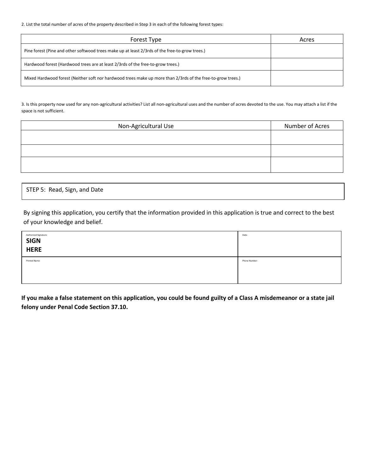2. List the total number of acres of the property described in Step 3 in each of the following forest types:

| Forest Type                                                                                                 | Acres |
|-------------------------------------------------------------------------------------------------------------|-------|
| Pine forest (Pine and other softwood trees make up at least 2/3rds of the free-to-grow trees.)              |       |
| Hardwood forest (Hardwood trees are at least 2/3rds of the free-to-grow trees.)                             |       |
| Mixed Hardwood forest (Neither soft nor hardwood trees make up more than 2/3rds of the free-to-grow trees.) |       |

3. Is this property now used for any non-agricultural activities? List all non-agricultural uses and the number of acres devoted to the use. You may attach a list if the space is not sufficient.

| Non-Agricultural Use | Number of Acres |
|----------------------|-----------------|
|                      |                 |
|                      |                 |
|                      |                 |
|                      |                 |
|                      |                 |

STEP 5: Read, Sign, and Date

By signing this application, you certify that the information provided in this application is true and correct to the best of your knowledge and belief.

| Authorized Signature:<br>SIGN<br>HERE | Date:         |
|---------------------------------------|---------------|
| Printed Name:                         | Phone Number: |

If you make a false statement on this application, you could be found guilty of a Class A misdemeanor or a state jail felony under Penal Code Section 37.10.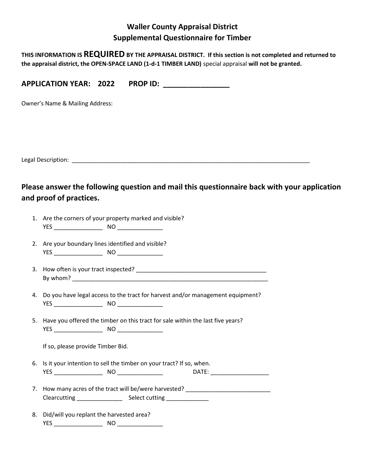## Waller County Appraisal District Supplemental Questionnaire for Timber

THIS INFORMATION IS REQUIRED BY THE APPRAISAL DISTRICT. If this section is not completed and returned to the appraisal district, the OPEN-SPACE LAND (1-d-1 TIMBER LAND) special appraisal will not be granted.

APPLICATION YEAR: 2022 PROP ID:

Owner's Name & Mailing Address:

Legal Description: \_\_\_\_\_\_\_\_\_\_\_\_\_\_\_\_\_\_\_\_\_\_\_\_\_\_\_\_\_\_\_\_\_\_\_\_\_\_\_\_\_\_\_\_\_\_\_\_\_\_\_\_\_\_\_\_\_\_\_\_\_\_\_\_\_\_\_\_\_\_\_\_\_

Please answer the following question and mail this questionnaire back with your application and proof of practices.

- 1. Are the corners of your property marked and visible? YES \_\_\_\_\_\_\_\_\_\_\_\_\_\_\_ NO \_\_\_\_\_\_\_\_\_\_\_\_\_\_
- 2. Are your boundary lines identified and visible? YES NO
- 3. How often is your tract inspected? By whom? \_\_\_\_\_\_\_\_\_\_\_\_\_\_\_\_\_\_\_\_\_\_\_\_\_\_\_\_\_\_\_\_\_\_\_\_\_\_\_\_\_\_\_\_\_\_\_\_\_\_\_\_\_\_\_\_\_\_\_\_
- 4. Do you have legal access to the tract for harvest and/or management equipment? YES \_\_\_\_\_\_\_\_\_\_\_\_\_\_\_ NO \_\_\_\_\_\_\_\_\_\_\_\_\_\_
- 5. Have you offered the timber on this tract for sale within the last five years? YES \_\_\_\_\_\_\_\_\_\_\_\_\_\_\_ NO \_\_\_\_\_\_\_\_\_\_\_\_\_\_

If so, please provide Timber Bid.

- 6. Is it your intention to sell the timber on your tract? If so, when. YES \_\_\_\_\_\_\_\_\_\_\_\_\_\_\_ NO \_\_\_\_\_\_\_\_\_\_\_\_\_\_ DATE: \_\_\_\_\_\_\_\_\_\_\_\_\_\_\_\_\_\_
- 7. How many acres of the tract will be/were harvested? \_\_\_\_\_\_\_\_\_\_\_\_\_\_\_\_\_\_\_\_\_\_\_\_\_ Clearcutting \_\_\_\_\_\_\_\_\_\_\_\_\_\_ Select cutting \_\_\_\_\_\_\_\_\_\_\_\_\_
- 8. Did/will you replant the harvested area? YES \_\_\_\_\_\_\_\_\_\_\_\_\_\_\_ NO \_\_\_\_\_\_\_\_\_\_\_\_\_\_